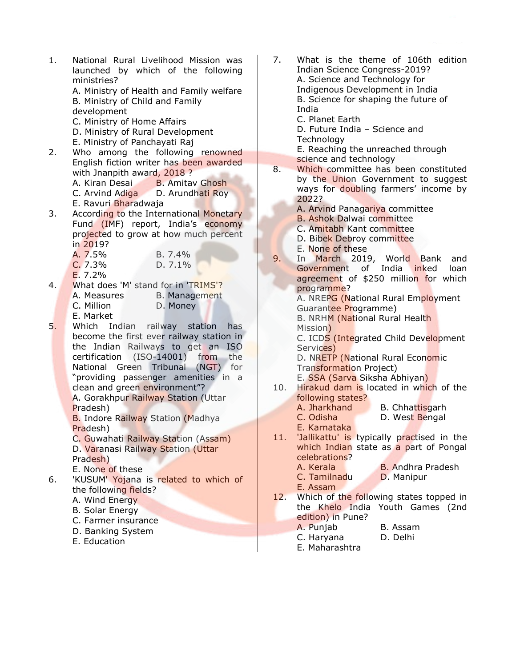- 1. National Rural Livelihood Mission was launched by which of the following ministries? A. Ministry of Health and Family welfare B. Ministry of Child and Family development C. Ministry of Home Affairs D. Ministry of Rural Development E. Ministry of Panchayati Raj 2. Who among the following renowned English fiction writer has been awarded with Jnanpith award, 2018 ? A. Kiran Desai B. Amitay Ghosh C. Arvind Adiga D. Arundhati Roy E. Ravuri Bharadwaja 3. According to the International Monetary Fund (IMF) report, India's economy projected to grow at how much percent in 2019? A. 7.5% B. 7.4% C. 7.3% D. 7.1% E. 7.2% 4. What does 'M' stand for in 'TRIMS'? A. Measures B. Management C. Million D. Money E. Market 5. Which Indian railway station has become the first ever railway station in the Indian Railways to get an ISO certification (ISO-14001) from the National Green Tribunal (NGT) for "providing passenger amenities in a clean and green environment"? A. Gorakhpur Railway Station (Uttar Pradesh) B. Indore Railway Station (Madhya Pradesh) C. Guwahati Railway Station (Assam) D. Varanasi Railway Station (Uttar Pradesh) E. None of these 6. 'KUSUM' Yojana is related to which of the following fields? A. Wind Energy B. Solar Energy C. Farmer insurance D. Banking System E. Education 7. What is the theme of 106th edition Indian Science Congress-2019? A. Science and Technology for Indigenous Development in India B. Science for shaping the future of India C. Planet Earth D. Future India – Science and **Technology** E. Reaching the unreached through science and technology 8. Which committee has been constituted by the Union Government to suggest ways for doubling farmers' income by 2022? A. Arvind Panagariya committee B. Ashok Dalwai committee C. Amitabh Kant committee D. Bibek Debroy committee E. None of these 9. In March 2019, World Bank and Government of India inked loan agreement of \$250 million for which programme? A. NREPG (National Rural Employment Guarantee Programme) B. NRHM (National Rural Health Mission) C. ICDS (Integrated Child Development Services) D. NRETP (National Rural Economic Transformation Project) E. SSA (Sarva Siksha Abhiyan) 10. Hirakud dam is located in which of the following states? A. Jharkhand B. Chhattisgarh C. Odisha D. West Bengal E. Karnataka 11. 'Jallikattu' is typically practised in the which Indian state as a part of Pongal celebrations? A. Kerala B. Andhra Pradesh C. Tamilnadu D. Manipur E. Assam 12. Which of the following states topped in the Khelo India Youth Games (2nd edition) in Pune? A. Punjab B. Assam C. Haryana D. Delhi
	-
	- E. Maharashtra
- 
- -
	-
	-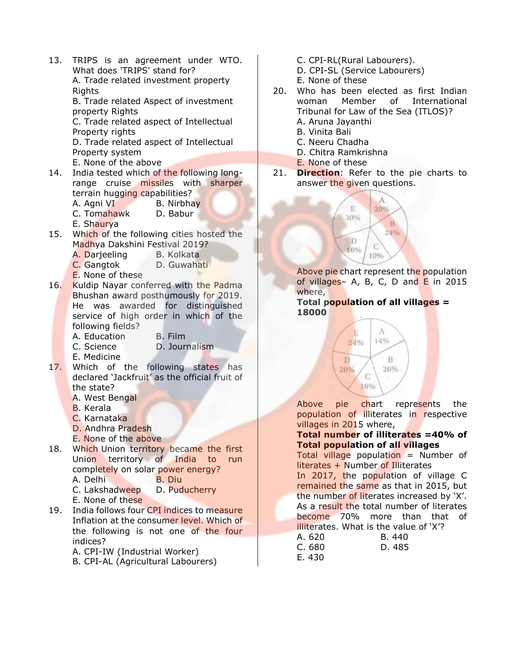13. TRIPS is an agreement under WTO. What does 'TRIPS' stand for? A. Trade related investment property Rights B. Trade related Aspect of investment property Rights C. Trade related aspect of Intellectual

Property rights D. Trade related aspect of Intellectual

Property system E. None of the above

- 14. India tested which of the following longrange cruise missiles with sharper terrain hugging capabilities? A. Agni VI B. Nirbhay
	- C. Tomahawk D. Babur
	- E. Shaurya
- 15. Which of the following cities hosted the Madhya Dakshini Festival 2019? A. Darjeeling B. Kolkata C. Gangtok D. Guwahati
	- E. None of these
- 16. Kuldip Nayar conferred with the Padma Bhushan award posthumously for 2019. He was awarded for distinguished service of high order in which of the following fields?
	- A. Education B. Film C. Science D. Journalism
		-
	- E. Medicine
- 
- 
- 
- 17. Which of the following states has declared 'Jackfruit' as the official fruit of the state?
	- A. West Bengal
	- B. Kerala
	- C. Karnataka
	- D. Andhra Pradesh
	- E. None of the above
- 18. Which Union territory became the first Union territory of India to run completely on solar power energy? A. Delhi B. Diu C. Lakshadweep D. Puducherry
	- E. None of these
- 19. India follows four CPI indices to measure Inflation at the consumer level. Which of the following is not one of the four indices?

A. CPI-IW (Industrial Worker)

B. CPI-AL (Agricultural Labourers)

- C. CPI-RL(Rural Labourers).
- D. CPI-SL (Service Labourers)
- E. None of these
- 20. Who has been elected as first Indian woman Member of International Tribunal for Law of the Sea (ITLOS)? A. Aruna Jayanthi
	- B. Vinita Bali
	- C. Neeru Chadha
	- D. Chitra Ramkrishna
	- E. None of these
- 21. **Direction**: Refer to the pie charts to answer the given questions.



Above pie chart represent the population of villages - A, B, C, D and  $E$  in 2015 where,

**Total population of all villages = 18000**



Above pie chart represents the population of illiterates in respective villages in 2015 where,

### **Total number of illiterates =40% of Total population of all villages**

Total village population  $=$  Number of literates + Number of Illiterates

In 2017, the population of village C remained the same as that in 2015, but the number of literates increased by 'X'. As a result the total number of literates become 70% more than that of illiterates. What is the value of 'X'?

| A. 620 | B. 440 |
|--------|--------|
| C. 680 | D. 485 |
| E. 430 |        |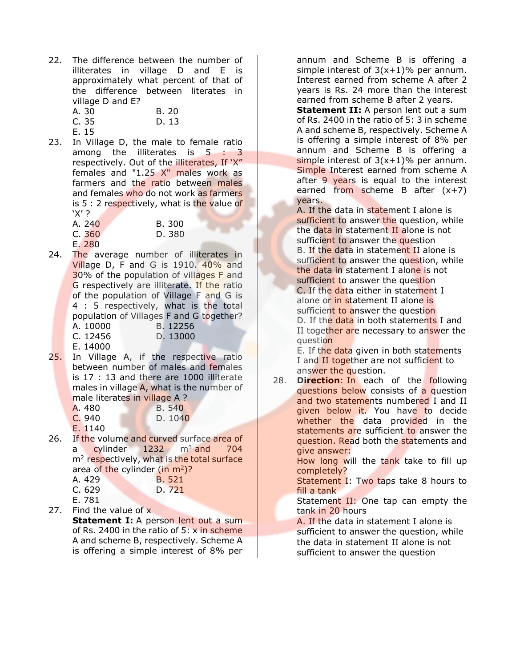22. The difference between the number of illiterates in village D and E is approximately what percent of that of the difference between literates in village D and E?

| A. 30 | B. 20 |
|-------|-------|
| C.35  | D. 13 |

- E. 15
- 23. In Village D, the male to female ratio among the illiterates is 5 : 3 respectively. Out of the illiterates, If 'X" females and "1.25  $X''$  males work as farmers and the ratio between males and females who do not work as farmers is 5 : 2 respectively, what is the value of 'X' ?

| A. 240 | B. 300 |
|--------|--------|
| C.360  | D. 380 |
| E. 280 |        |

24. The average number of illiterates in Village D, F and G is 1910. 40% and 30% of the population of villages F and G respectively are illiterate. If the ratio of the population of Village F and G is 4 : 5 respectively, what is the total population of Villages F and G together? A. 10000 B. 12256 C. 12456 D. 13000

E. 14000

25. In Village A, if the respective ratio between number of males and females is 17 : 13 and there are 1000 illiterate males in village A, what is the number of male literates in village A?

| A. 480  | B. 540  |
|---------|---------|
| C.940   | D. 1040 |
| E. 1140 |         |

26. If the volume and curved surface area of a cylinder  $1232$  m<sup>3</sup> and 704 m<sup>2</sup> respectively, what is the total surface area of the cylinder (in m<sup>2</sup>)? A. 429 B. 521

| C.629  | D. 721 |
|--------|--------|
| E. 781 |        |

27. Find the value of x **Statement I:** A person lent out a sum of Rs. 2400 in the ratio of  $5: x$  in scheme A and scheme B, respectively. Scheme A is offering a simple interest of 8% per

annum and Scheme B is offering a simple interest of  $3(x+1)\%$  per annum. Interest earned from scheme A after 2 years is Rs. 24 more than the interest earned from scheme B after 2 years.

**Statement II:** A person lent out a sum of Rs. 2400 in the ratio of 5: 3 in scheme A and scheme B, respectively. Scheme A is offering a simple interest of 8% per annum and Scheme B is offering a simple interest of  $3(x+1)\%$  per annum. Simple Interest earned from scheme A after 9 years is equal to the interest earned from scheme B after  $(x+7)$ years.

A. If the data in statement I alone is sufficient to answer the question, while the data in statement II alone is not sufficient to answer the question B. If the data in statement II alone is sufficient to answer the question, while the data in statement I alone is not sufficient to answer the question C. If the data either in statement I alone or in statement II alone is sufficient to answer the question D. If the data in both statements I and II together are necessary to answer the question

E. If the data given in both statements I and II together are not sufficient to answer the question.

28. **Direction**: In each of the following questions below consists of a question and two statements numbered I and II given below it. You have to decide whether the data provided in the statements are sufficient to answer the question. Read both the statements and give answer:

How long will the tank take to fill up completely?

Statement I: Two taps take 8 hours to fill a tank

Statement II: One tap can empty the tank in 20 hours

A. If the data in statement I alone is sufficient to answer the question, while the data in statement II alone is not sufficient to answer the question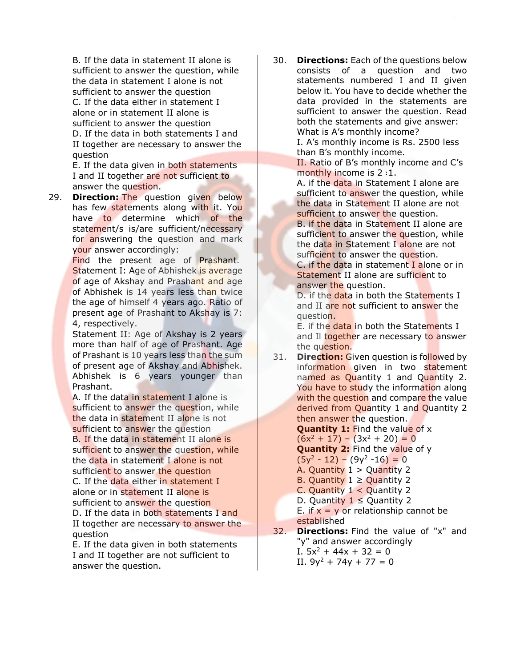B. If the data in statement II alone is sufficient to answer the question, while the data in statement I alone is not sufficient to answer the question C. If the data either in statement I alone or in statement II alone is sufficient to answer the question D. If the data in both statements I and II together are necessary to answer the question

E. If the data given in both statements I and II together are not sufficient to answer the question.

29. **Direction:** The question given below has few statements along with it. You have to determine which of the statement/s is/are sufficient/necessary for answering the question and mark your answer accordingly:

Find the present age of Prashant. Statement I: Age of Abhishek is average of age of Akshay and Prashant and age of Abhishek is 14 years less than twice the age of himself 4 years ago. Ratio of present age of Prashant to Akshay is 7: 4, respectively.

Statement II: Age of Akshay is 2 years more than half of age of Prashant. Age of Prashant is 10 years less than the sum of present age of Akshay and Abhishek. Abhishek is 6 years younger than Prashant.

A. If the data in statement I alone is sufficient to answer the question, while the data in statement II alone is not sufficient to answer the question B. If the data in statement II alone is sufficient to answer the question, while the data in statement I alone is not sufficient to answer the question C. If the data either in statement I alone or in statement II alone is

sufficient to answer the question D. If the data in both statements I and II together are necessary to answer the question

E. If the data given in both statements I and II together are not sufficient to answer the question.

30. **Directions:** Each of the questions below consists of a question and two statements numbered I and II given below it. You have to decide whether the data provided in the statements are sufficient to answer the question. Read both the statements and give answer: What is A's monthly income?

I. A's monthly income is Rs. 2500 less than B's monthly income.

II. Ratio of B's monthly income and C's monthly income is 2 ∶1.

A. if the data in Statement I alone are sufficient to answer the question, while the data in Statement II alone are not sufficient to answer the question. B. if the data in Statement II alone are

sufficient to answer the question, while the data in Statement I alone are not sufficient to answer the question. C. if the data in statement I alone or in Statement II alone are sufficient to answer the question.

D. if the data in both the Statements I and II are not sufficient to answer the question.

E. if the data in both the Statements I and II together are necessary to answer the question.

31. **Direction:** Given question is followed by information given in two statement named as Quantity 1 and Quantity 2. You have to study the information along with the question and compare the value derived from Quantity 1 and Quantity 2 then answer the question.

> **Quantity 1:** Find the value of x  $(6x^2 + 17) - (3x^2 + 20) = 0$ **Quantity 2:** Find the value of y  $(5y<sup>2</sup> - 12) - (9y<sup>2</sup> - 16) = 0$ A. Quantity 1 > Quantity 2 B. Quantity  $1 \geq$  Quantity 2

- C. Quantity  $1 <$  Quantity 2
- D. Quantity  $1 \le$  Quantity 2

E. if  $x = y$  or relationship cannot be established

32. **Directions:** Find the value of "x" and "y" and answer accordingly I.  $5x^2 + 44x + 32 = 0$ II.  $9y^2 + 74y + 77 = 0$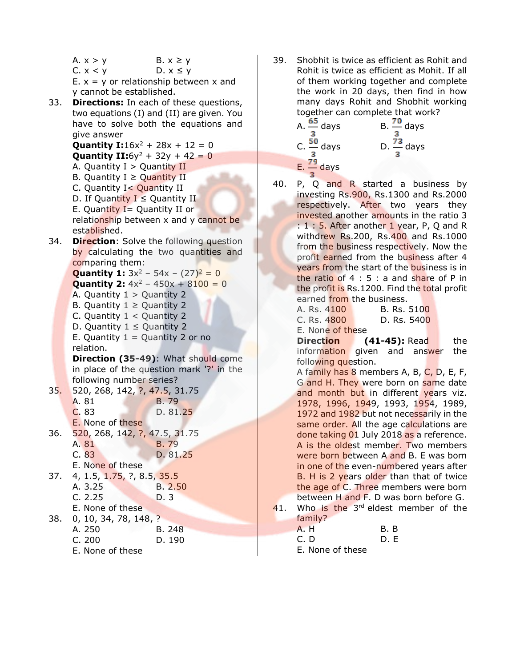A.  $x > y$  B.  $x \ge y$  $C. x < y$   $D. x \le y$ E.  $x = y$  or relationship between x and y cannot be established. 33. **Directions:** In each of these questions, two equations (I) and (II) are given. You have to solve both the equations and give answer **Quantity I:**16 $x^2$  + 28 $x$  + 12 = 0 **Quantity II:**6y<sup>2</sup> + 32y + 42 = 0 A. Quantity  $I >$  Quantity II B. Quantity  $I \geq$  Quantity II C. Quantity I< Quantity II D. If Quantity  $I \le$  Quantity II E. Quantity  $I =$  Quantity II or relationship between x and y cannot be established. 34. **Direction**: Solve the following question by calculating the two quantities and comparing them: **Quantity 1:**  $3x^2 - 54x - (27)^2 = 0$ **Quantity 2:**  $4x^2 - 450x + 8100 = 0$ A. Quantity 1 > Quantity 2 B. Quantity  $1 \ge$  Quantity 2 C. Quantity 1 < Quantity 2 D. Quantity  $1 \leq$  Quantity 2 E. Quantity  $1 =$  Quantity 2 or no relation. **Direction (35-49)**: What should come in place of the question mark '?' in the following number series? 35. 520, 268, 142, ?, 47.5, 31.75 A. 81 B. 79 C. 83 D. 81.25 E. None of these 36. 520, 268, 142, ?, 47.5, 31.75 A. 81 B. 79 C. 83 D. 81.25 E. None of these 37. 4, 1.5, 1.75, ?, 8.5, 35.5 A. 3.25 B. 2.50 C. 2.25 D. 3 E. None of these 38. 0, 10, 34, 78, 148, ? A. 250 B. 248 C. 200 D. 190

E. None of these

39. Shobhit is twice as efficient as Rohit and Rohit is twice as efficient as Mohit. If all of them working together and complete the work in 20 days, then find in how many days Rohit and Shobhit working together can complete that work?

A. 
$$
\frac{65}{3}
$$
 days  
\nB.  $\frac{70}{3}$  days  
\nC.  $\frac{50}{3}$  days  
\nD.  $\frac{73}{3}$  days  
\nE.  $\frac{79}{3}$  days

40. P, Q and R started a business by investing Rs.900, Rs.1300 and Rs.2000 respectively. After two years they invested another amounts in the ratio 3 : 1 : 5. After another 1 year, P, Q and R withdrew Rs.200, Rs.400 and Rs.1000 from the business respectively. Now the profit earned from the business after 4 years from the start of the **business is in** the ratio of  $4:5: a$  and share of P in the profit is Rs.1200. Find the total profit earned *from* the business.

| <b>B. Rs. 5100</b> |
|--------------------|
|                    |

|  | C. Rs. 4800 |  | D. Rs. 5400 |
|--|-------------|--|-------------|
|  |             |  |             |

E. None of these

**Direction** (41-45): Read the information given and answer the following question.

A family has 8 members A, B, C, D, E, F, G and H. They were born on same date and month but in different years viz. 1978, 1996, 1949, 1993, 1954, 1989, 1972 and 1982 but not necessarily in the same order. All the age calculations are done taking 01 July 2018 as a reference. A is the oldest member. Two members were born between A and B. E was born in one of the even-numbered years after B. H is 2 years older than that of twice the age of C. Three members were born between H and F. D was born before G.

41. Who is the  $3<sup>rd</sup>$  eldest member of the family?

| A. H             | B. B |
|------------------|------|
| C. D             | D. E |
| E. None of these |      |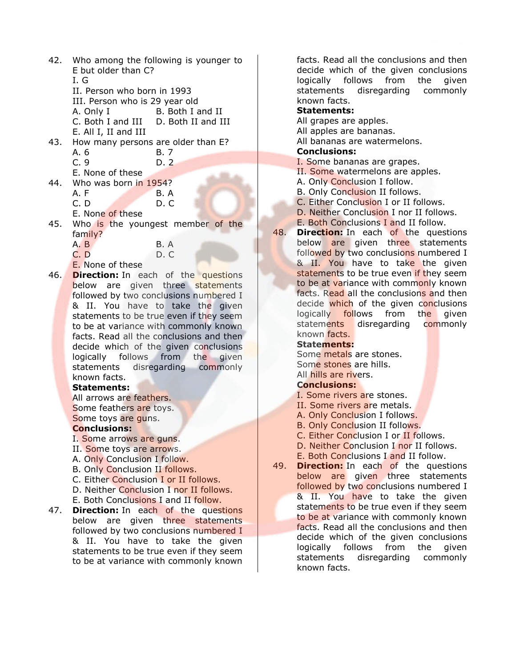- 42. Who among the following is younger to E but older than C? I. G II. Person who born in 1993 III. Person who is 29 year old A. Only I B. Both I and II C. Both I and III D. Both II and III E. All I, II and III 43. How many persons are older than E? A. 6 B. 7 C. 9 D. 2 E. None of these 44. Who was born in 1954? A. F B. A C. D D. C E. None of these 45. Who is the youngest member of the family? A. B B. A C. D D. C E. None of these 46. **Direction:** In each of the questions below are given three statements followed by two conclusions numbered I & II. You have to take the given statements to be true even if they seem to be at variance with commonly known facts. Read all the conclusions and then decide which of the given conclusions logically follows from the given statements disregarding commonly known facts. **Statements:** All arrows are feathers. Some feathers are toys. Some toys are guns. **Conclusions:** I. Some arrows are guns. II. Some toys are arrows. A. Only Conclusion I follow. B. Only Conclusion II follows. C. Either Conclusion I or II follows. D. Neither Conclusion I nor II follows. E. Both Conclusions I and II follow.
- 47. **Direction:** In each of the questions below are given three statements followed by two conclusions numbered I & II. You have to take the given statements to be true even if they seem to be at variance with commonly known

facts. Read all the conclusions and then decide which of the given conclusions logically follows from the given statements disregarding commonly known facts.

#### **Statements:**

- All grapes are apples.
- All apples are bananas.
- All bananas are watermelons.

## **Conclusions:**

- I. Some bananas are grapes.
- II. Some watermelons are apples.
- A. Only Conclusion I follow.
- B. Only Conclusion II follows.
- C. Either Conclusion I or II follows.
- D. Neither Conclusion I nor II follows.
- E. Both Conclusions I and II follow.
- 48. **Direction:** In each of the questions below are given three statements followed by two conclusions numbered I & II. You have to take the given statements to be true even if they seem to be at variance with commonly known facts. Read all the conclusions and then decide which of the given conclusions logically **follows** from the given statements disregarding commonly known facts.

#### **Statements:**

Some metals are stones. Some stones are hills. All hills are rivers.

#### **Conclusions:**

- I. Some rivers are stones.
- II. Some rivers are metals.
- A. Only Conclusion I follows.
- B. Only Conclusion II follows.
- C. Either Conclusion I or II follows.
- D. Neither Conclusion I nor II follows.
- E. Both Conclusions I and II follow.
- 49. **Direction:** In each of the questions below are given three statements followed by two conclusions numbered I & II. You have to take the given statements to be true even if they seem to be at variance with commonly known facts. Read all the conclusions and then decide which of the given conclusions logically follows from the given statements disregarding commonly known facts.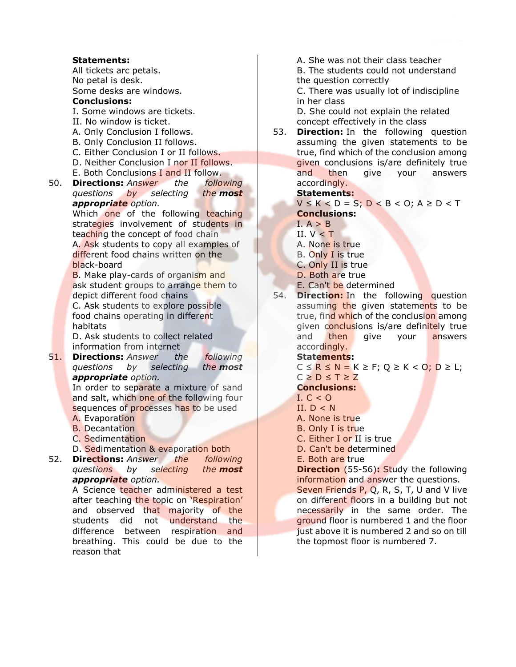### **Statements:**

All tickets arc petals. No petal is desk.

Some desks are windows.

# **Conclusions:**

- I. Some windows are tickets.
- II. No window is ticket.
- A. Only Conclusion I follows.
- B. Only Conclusion II follows.
- C. Either Conclusion I or II follows.
- D. Neither Conclusion I nor II follows.
- E. Both Conclusions I and II follow.

50. **Directions:** *Answer the following questions by selecting the most appropriate option.* Which one of the following teaching

strategies involvement of students in teaching the concept of food chain A. Ask students to copy all examples of different food chains written on the black-board

**B.** Make play-cards of organism and ask student groups to arrange them to depict different food chains C. Ask students to explore possible food chains operating in different habitats

D. Ask students to collect related information from internet

## 51. **Directions:** *Answer the following questions by selecting the most appropriate option.*

In order to separate a mixture of sand and salt, which one of the following four sequences of processes has to be used

- A. Evaporation
- B. Decantation
- C. Sedimentation
- D. Sedimentation & evaporation both

### 52. **Directions:** *Answer the following questions by selecting the most appropriate option.*

A Science teacher administered a test after teaching the topic on 'Respiration' and observed that majority of the students did not understand the difference between respiration and breathing. This could be due to the reason that

A. She was not their class teacher B. The students could not understand the question correctly

C. There was usually lot of indiscipline in her class

D. She could not explain the related concept effectively in the class

53. **Direction:** In the following question assuming the given statements to be true, find which of the conclusion among given conclusions is/are definitely true and then give your answers accordingly.

#### **Statements:**

 $V \le K < D = S$ ;  $D < B < O$ ;  $A \ge D < T$ **Conclusions:**

- $I. A > B$
- II.  $V < T$
- A. None is true
- B. Only I is true
- C. Only II is true
- D. Both are true
- E. Can't be determined
- 54. **Direction:** In the following question assuming the given statements to be true, find which of the conclusion among given conclusions is/are definitely true and then give your answers accordingly.

#### **Statements:**

 $C \leq R \leq N = K \geq F$ ;  $Q \geq K < 0$ ;  $D \geq L$ ;

 $C \ge D \le T \ge Z$ 

## **Conclusions:**

- I.  $C < 0$
- II.  $D < N$
- A. None is true
- B. Only I is true
- C. Either I or II is true
- D. Can't be determined
- E. Both are true

**Direction** (55-56)**:** Study the following information and answer the questions.

Seven Friends P, Q, R, S, T, U and V live on different floors in a building but not necessarily in the same order. The ground floor is numbered 1 and the floor just above it is numbered 2 and so on till the topmost floor is numbered 7.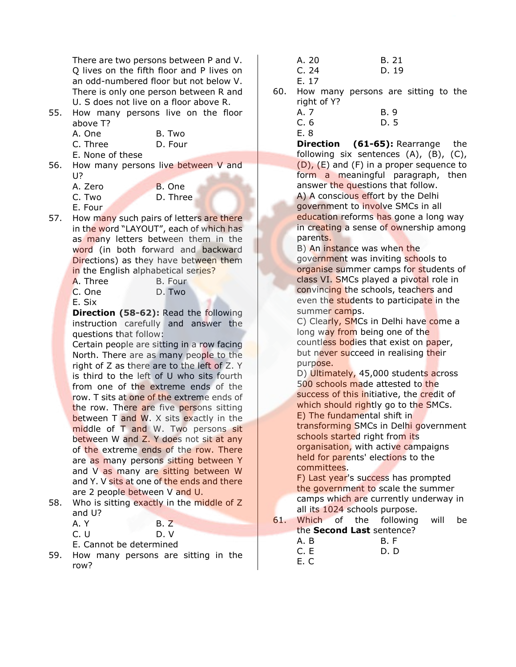There are two persons between P and V. Q lives on the fifth floor and P lives on an odd-numbered floor but not below V. There is only one person between R and U. S does not live on a floor above R.

55. How many persons live on the floor above T?

| A. One           | B. Two  |
|------------------|---------|
| C. Three         | D. Four |
| E. None of these |         |

56. How many persons live between V and U?

> A. Zero B. One C. Two D. Three

- E. Four
- 57. How many such pairs of letters are there
	- in the word "LAYOUT", each of which has as many letters between them in the word (in both forward and backward Directions) as they have between them in the English alphabetical series?
		- A. Three B. Four
		- C. One D. Two
		- E. Six

**Direction (58-62):** Read the following instruction carefully and answer the questions that follow:

Certain people are sitting in a row facing North. There are as many people to the right of Z as there are to the left of Z. Y is third to the left of U who sits fourth from one of the extreme ends of the row. T sits at one of the extreme ends of the row. There are five persons sitting between T and W. X sits exactly in the middle of T and W. Two persons sit between W and Z. Y does not sit at any of the extreme ends of the row. There are as many persons sitting between Y and V as many are sitting between W and Y. V sits at one of the ends and there are 2 people between V and U.

58. Who is sitting exactly in the middle of Z and U?

| A. Y      |  | B. Z |              |
|-----------|--|------|--------------|
| $\sim$ 11 |  | D.   | $\mathbf{v}$ |

C. U D. V

E. Cannot be determined

59. How many persons are sitting in the row?

- A. 20 B. 21 C. 24 D. 19 E. 17
- 60. How many persons are sitting to the right of Y?
	- A. 7 B. 9 C. 6 D. 5
	- E. 8

**Direction (61-65):** Rearrange the following six sentences  $(A)$ ,  $(B)$ ,  $(C)$ ,  $(D)$ ,  $(E)$  and  $(F)$  in a proper sequence to form a meaningful paragraph, then answer the questions that follow. A) A conscious effort by the Delhi government to involve SMCs in all education reforms has gone a long way in creating a sense of ownership among parents.

B) An instance was when the government was inviting schools to organise summer camps for students of class VI. SMCs played a pivotal role in convincing the schools, teachers and even the students to participate in the summer camps.

C) Clearly, SMCs in Delhi have come a long way from being one of the countless bodies that exist on paper, but never succeed in realising their purpose.

D) Ultimately, 45,000 students across 500 schools made attested to the success of this initiative, the credit of which should rightly go to the SMCs. E) The fundamental shift in transforming SMCs in Delhi government schools started right from its organisation, with active campaigns held for parents' elections to the committees.

F) Last year's success has prompted the government to scale the summer camps which are currently underway in all its 1024 schools purpose.

61. Which of the following will be the **Second Last** sentence?

| A. B            | B.F |
|-----------------|-----|
| C. E            | D.D |
| $\Gamma$ $\cap$ |     |

E. C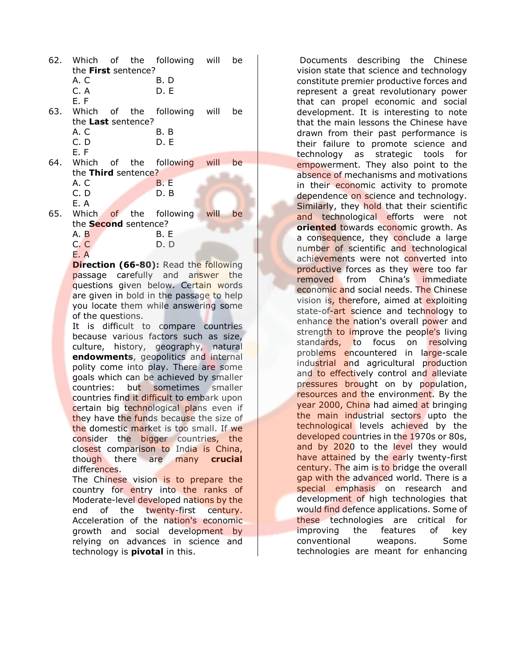| 62. |                            |  | Which of the following will | be |
|-----|----------------------------|--|-----------------------------|----|
|     | the <b>First</b> sentence? |  |                             |    |
|     | A. C.                      |  | B. D                        |    |
|     | C.A                        |  | D. F                        |    |
|     | F F                        |  |                             |    |

- 63. Which of the following will be the **Last** sentence? A. C B. B
	- C. D D. E
	- E. F
- 64. Which of the following will be the **Third** sentence?
	- $A \cdot C$  B. F C. D D. B
	- E. A
- 65. Which of the following will be the **Second** sentence?

| A. B | B. E |
|------|------|
| C.C  | D. D |
| E. A |      |

**Direction (66-80):** Read the following passage carefully and answer the questions given below. Certain words are given in bold in the passage to help you locate them while answering some of the questions.

It is difficult to compare countries because various factors such as size, culture, history, geography, natural **endowments**, geopolitics and internal polity come into play. There are some goals which can be achieved by smaller countries: but sometimes smaller countries find it difficult to embark upon certain big technological plans even if they have the funds because the size of the domestic market is too small. If we consider the bigger countries, the closest comparison to India is China, though there are many **crucial** differences.

The Chinese vision is to prepare the country for entry into the ranks of Moderate-level developed nations by the end of the twenty-first century. Acceleration of the nation's economic growth and social development by relying on advances in science and technology is **pivotal** in this.

Documents describing the Chinese vision state that science and technology constitute premier productive forces and represent a great revolutionary power that can propel economic and social development. It is interesting to note that the main lessons the Chinese have drawn from their past performance is their failure to promote science and technology as strategic tools for empowerment. They also point to the absence of mechanisms and motivations in their economic activity to promote dependence on science and technology. Similarly, they hold that their scientific and technological efforts were not **oriented** towards economic growth. As a consequence, they conclude a large number of scientific and technological achievements were not converted into productive forces as they were too far removed from China's immediate economic and social needs. The Chinese vision is, therefore, aimed at exploiting state-of-art science and technology to enhance the nation's overall power and strength to improve the people's living standards, to focus on resolving problems encountered in large-scale industrial and agricultural production and to effectively control and alleviate pressures brought on by population, resources and the environment. By the year 2000, China had aimed at bringing the main industrial sectors upto the technological levels achieved by the developed countries in the 1970s or 80s, and by 2020 to the level they would have attained by the early twenty-first century. The aim is to bridge the overall gap with the advanced world. There is a special emphasis on research and development of high technologies that would find defence applications. Some of these technologies are critical for improving the features of key conventional weapons. Some technologies are meant for enhancing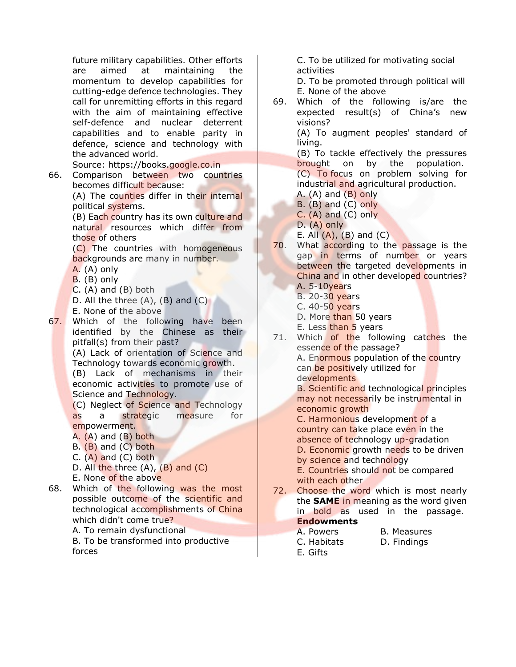future military capabilities. Other efforts are aimed at maintaining the momentum to develop capabilities for cutting-edge defence technologies. They call for unremitting efforts in this regard with the aim of maintaining effective self-defence and nuclear deterrent capabilities and to enable parity in defence, science and technology with the advanced world. Source: https://books.google.co.in

66. Comparison between two countries becomes difficult because:

> (A) The counties differ in their internal political systems.

> (B) Each country has its own culture and natural resources which differ from those of others

> (C) The countries with homogeneous backgrounds are many in number.

- A. (A) only
- B. (B) only
- $C.$  (A) and (B) both
- D. All the three  $(A)$ ,  $(B)$  and  $(C)$
- E. None of the above
- 67. Which of the following have been identified by the Chinese as their pitfall(s) from their past?

(A) Lack of orientation of Science and Technology towards economic growth.

(B) Lack of mechanisms in their economic activities to promote use of Science and Technology.

(C) Neglect of Science and Technology as a strategic measure for empowerment.

- A. (A) and (B) both
- $B.$   $(B)$  and  $(C)$  both
- C. (A) and (C) both

D. All the three  $(A)$ ,  $(B)$  and  $(C)$ 

- E. None of the above
- 68. Which of the following was the most possible outcome of the scientific and technological accomplishments of China which didn't come true?

A. To remain dysfunctional

B. To be transformed into productive forces

C. To be utilized for motivating social activities

D. To be promoted through political will E. None of the above

69. Which of the following is/are the expected result(s) of China's new visions?

(A) To augment peoples' standard of living.

(B) To tackle effectively the pressures brought on by the population. (C) To focus on problem solving for industrial and agricultural production.

- A.  $(A)$  and  $(B)$  only
- B. (B) and (C) only
- $C.$  (A) and (C) only
- D. (A) only
- E. All  $(A)$ ,  $(B)$  and  $(C)$
- 70. What according to the passage is the gap in terms of number or years between the targeted developments in China and in other developed countries? A. 5-10years
	-
	- B. 20-30 years C. 40-50 years
	- D. More than 50 years
	- E. Less than 5 years
- 71. Which of the following catches the essence of the passage? A. Enormous population of the country

can be positively utilized for developments

B. Scientific and technological principles may not necessarily be instrumental in economic growth

C. Harmonious development of a country can take place even in the absence of technology up-gradation D. Economic growth needs to be driven

by science and technology

E. Countries should not be compared with each other

72. Choose the word which is most nearly the **SAME** in meaning as the word given in **bold** as used in the passage. **Endowments**

- A. Powers B. Measures
- C. Habitats D. Findings
- E. Gifts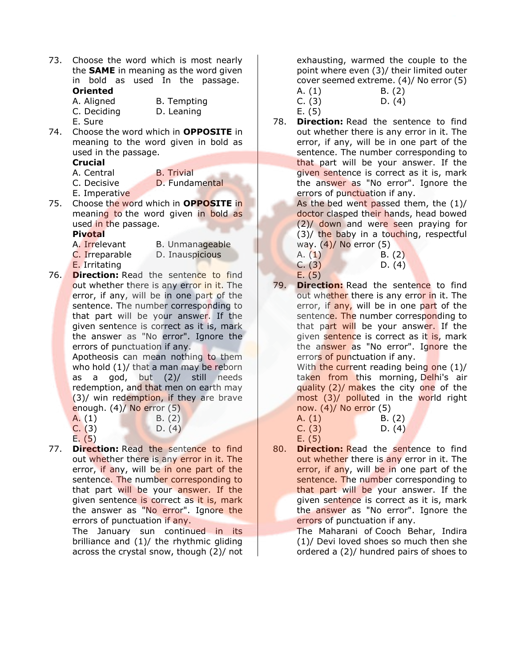73. Choose the word which is most nearly the **SAME** in meaning as the word given in bold as used In the passage. **Oriented**

| A. Aligned  | <b>B.</b> Tempting |
|-------------|--------------------|
| C. Deciding | D. Leaning         |
| E. Sure     |                    |

74. Choose the word which in **OPPOSITE** in meaning to the word given in bold as used in the passage.

## **Crucial**

A. Central B. Trivial

C. Decisive D. Fundamental

- E. Imperative
- 75. Choose the word which in **OPPOSITE** in meaning to the word given in bold as used in the passage.

## **Pivotal**

- A. Irrelevant B. Unmanageable C. Irreparable D. Inauspicious E. Irritating
	-
- 76. **Direction:** Read the sentence to find out whether there is any error in it. The error, if any, will be in one part of the sentence. The number corresponding to that part will be your answer. If the given sentence is correct as it is, mark the answer as "No error". Ignore the errors of punctuation if any.

Apotheosis can mean nothing to them who hold  $(1)$  that a man may be reborn as a god, but (2)/ still needs redemption, and that men on earth may (3)/ win redemption, if they are brave enough. (4)/ No error (5)

| A. (1) | B. (2)   |
|--------|----------|
| C. (3) | D. $(4)$ |

- E. (5)
- 77. **Direction:** Read the sentence to find out whether there is any error in it. The error, if any, will be in one part of the sentence. The number corresponding to that part will be your answer. If the given sentence is correct as it is, mark the answer as "No error". Ignore the errors of punctuation if any.

The January sun continued in its brilliance and (1)/ the rhythmic gliding across the crystal snow, though (2)/ not

exhausting, warmed the couple to the point where even (3)/ their limited outer cover seemed extreme. (4)/ No error (5)

- A. (1) B. (2)  $C. (3)$  D.  $(4)$ E. (5)
- 78. **Direction:** Read the sentence to find out whether there is any error in it. The error, if any, will be in one part of the sentence. The number corresponding to that part will be your answer. If the given sentence is correct as it is, mark the answer as "No error". Ignore the errors of punctuation if any.

As the bed went passed them, the (1)/ doctor clasped their hands, head bowed (2)/ down and were seen praying for  $(3)$  the baby in a touching, respectful way. (4)/ No error (5)

|        | $\cdot$ $\cdot$ |
|--------|-----------------|
| A. (1) | B. (2)          |
| C. (3) | D. (4)          |
| E. (5) |                 |

79. **Direction:** Read the sentence to find out whether there is any error in it. The error, if any, will be in one part of the sentence. The number corresponding to that part will be your answer. If the given sentence is correct as it is, mark the answer as "No error". Ignore the errors of punctuation if any.

With the current reading being one (1)/ taken from this morning, Delhi's air quality (2)/ makes the city one of the most (3)/ polluted in the world right now. (4)/ No error (5)

- A. (1) B. (2)
- $C. (3)$  D.  $(4)$
- E. (5)
- 80. **Direction:** Read the sentence to find out whether there is any error in it. The error, if any, will be in one part of the sentence. The number corresponding to that part will be your answer. If the given sentence is correct as it is, mark the answer as "No error". Ignore the errors of punctuation if any.

The Maharani of Cooch Behar, Indira (1)/ Devi loved shoes so much then she ordered a (2)/ hundred pairs of shoes to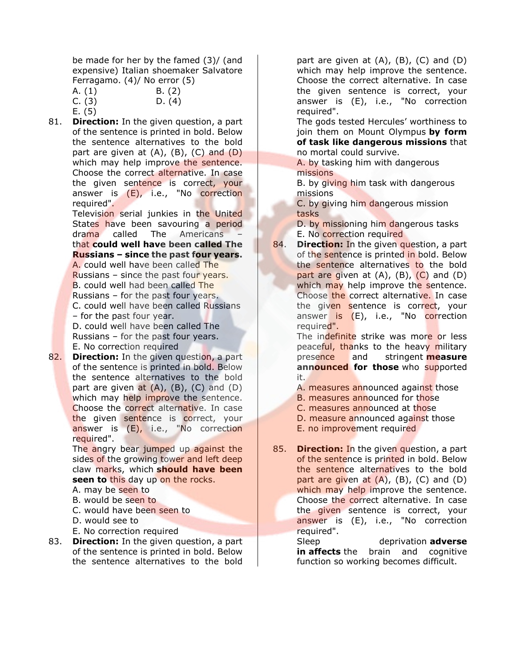be made for her by the famed (3)/ (and expensive) Italian shoemaker Salvatore Ferragamo. (4)/ No error (5)

- A. (1) B. (2)
- $C. (3)$  D.  $(4)$
- E. (5)
- 81. **Direction:** In the given question, a part of the sentence is printed in bold. Below the sentence alternatives to the bold part are given at  $(A)$ ,  $(B)$ ,  $(C)$  and  $(D)$ which may help improve the sentence. Choose the correct alternative. In case the given sentence is correct, your answer is  $(E)$ , i.e., "No correction required". Television serial junkies in the United

States have been savouring a period drama called The Americans – that **could well have been called The Russians – since the past four years.**

A. could well have been called The Russians – since the past four years. B. could well had been called The Russians – for the past four years. C. could well have been called Russians – for the past four year. D. could well have been called The Russians – for the past four years. E. No correction required

82. **Direction:** In the given question, a part of the sentence is printed in bold. Below the sentence alternatives to the bold part are given  $at (A)$ ,  $(B)$ ,  $(C)$  and  $(D)$ which may help improve the sentence. Choose the correct alternative. In case the given sentence is correct, your answer is (E), i.e., "No correction required".

> The angry bear jumped up against the sides of the growing tower and left deep claw marks, which **should have been seen to this day up on the rocks.**

- A. may be seen to
- B. would be seen to
- C. would have been seen to
- D. would see to
- E. No correction required
- 83. **Direction:** In the given question, a part of the sentence is printed in bold. Below the sentence alternatives to the bold

part are given at  $(A)$ ,  $(B)$ ,  $(C)$  and  $(D)$ which may help improve the sentence. Choose the correct alternative. In case the given sentence is correct, your answer is (E), i.e., "No correction required".

The gods tested Hercules' worthiness to join them on Mount Olympus **by form of task like dangerous missions** that no mortal could survive.

A. by tasking him with dangerous missions

B. by giving him task with dangerous missions

C. by giving him dangerous mission tasks

- D. by missioning him dangerous tasks E. No correction required
- 84. **Direction:** In the given question, a part of the sentence is printed in bold. Below the sentence alternatives to the bold part are given at  $(A)$ ,  $(B)$ ,  $(C)$  and  $(D)$ which may help improve the sentence. Choose the correct alternative. In case the given sentence is correct, your answer is (E), i.e., "No correction required".

The indefinite strike was more or less peaceful, thanks to the heavy military presence and stringent **measure**  announced for those who supported it.

- A. measures announced against those
- B. measures announced for those
- C. measures announced at those
- D. measure announced against those

E. no improvement required

85. **Direction:** In the given question, a part of the sentence is printed in bold. Below the sentence alternatives to the bold part are given at  $(A)$ ,  $(B)$ ,  $(C)$  and  $(D)$ which may help improve the sentence. Choose the correct alternative. In case the given sentence is correct, your answer is (E), i.e., "No correction required".

> Sleep deprivation **adverse in affects** the brain and cognitive function so working becomes difficult.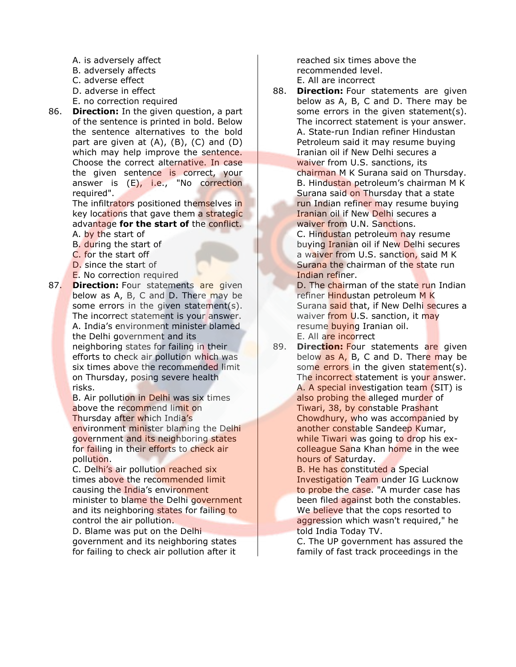- A. is adversely affect
- B. adversely affects
- C. adverse effect
- D. adverse in effect
- E. no correction required
- 86. **Direction:** In the given question, a part of the sentence is printed in bold. Below the sentence alternatives to the bold part are given at  $(A)$ ,  $(B)$ ,  $(C)$  and  $(D)$ which may help improve the sentence. Choose the correct alternative. In case the given sentence is correct, your answer is (E), i.e., "No correction required".

The infiltrators positioned themselves in key locations that gave them a strategic advantage **for the start of** the conflict.

- A. by the start of
- B. during the start of
- C. for the start off
- D. since the start of
- E. No correction required
- 87. **Direction:** Four statements are given below as A, B, C and D. There may be some errors in the given statement(s). The incorrect statement is your answer. A. India's environment minister blamed the Delhi government and its neighboring states for failing in their efforts to check air pollution which was six times above the recommended limit on Thursday, posing severe health risks.

B. Air pollution in Delhi was six times above the recommend limit on Thursday after which India's environment minister blaming the Delhi government and its neighboring states for failing in their efforts to check air pollution.

C. Delhi's air pollution reached six times above the recommended limit causing the India's environment minister to blame the Delhi government and its neighboring states for failing to control the air pollution.

D. Blame was put on the Delhi government and its neighboring states for failing to check air pollution after it

reached six times above the recommended level. E. All are incorrect

88. **Direction:** Four statements are given below as A, B, C and D. There may be some errors in the given statement(s). The incorrect statement is your answer. A. State-run Indian refiner Hindustan Petroleum said it may resume buying Iranian oil if New Delhi secures a waiver from U.S. sanctions, its chairman M K Surana said on Thursday. B. Hindustan petroleum's chairman M K Surana said on Thursday that a state run Indian refiner may resume buying Iranian oil if New Delhi secures a waiver from U.N. Sanctions.

> C. Hindustan petroleum nay resume buying Iranian oil if New Delhi secures a waiver from U.S. sanction, said M K Surana the chairman of the state run Indian refiner.

D. The chairman of the state run Indian refiner Hindustan petroleum M K Surana said that, if New Delhi secures a waiver from U.S. sanction, it may resume buying Iranian oil. E. All are incorrect

89. **Direction:** Four statements are given below as  $A$ ,  $B$ ,  $C$  and  $D$ . There may be some errors in the given statement(s). The incorrect statement is your answer. A. A special investigation team (SIT) is also probing the alleged murder of Tiwari, 38, by constable Prashant Chowdhury, who was accompanied by another constable Sandeep Kumar, while Tiwari was going to drop his excolleague Sana Khan home in the wee hours of Saturday.

B. He has constituted a Special Investigation Team under IG Lucknow to probe the case. "A murder case has been filed against both the constables. We believe that the cops resorted to aggression which wasn't required," he told India Today TV.

C. The UP government has assured the family of fast track proceedings in the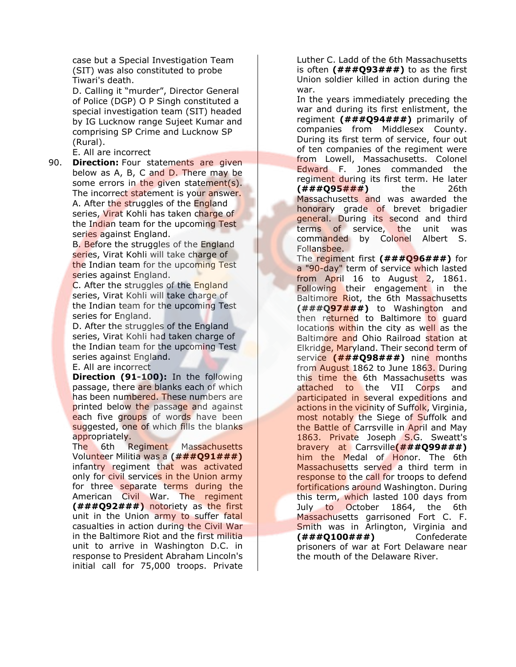case but a Special Investigation Team (SIT) was also constituted to probe Tiwari's death.

D. Calling it "murder", Director General of Police (DGP) O P Singh constituted a special investigation team (SIT) headed by IG Lucknow range Sujeet Kumar and comprising SP Crime and Lucknow SP (Rural).

E. All are incorrect

90. **Direction:** Four statements are given below as A, B, C and D. There may be some errors in the given statement(s). The incorrect statement is your answer. A. After the struggles of the England series, Virat Kohli has taken charge of the Indian team for the upcoming Test series against England.

B. Before the struggles of the England series, Virat Kohli will take charge of the Indian team for the upcoming Test series against England.

C. After the struggles of the England series, Virat Kohli will take charge of the Indian team for the upcoming Test series for England.

D. After the struggles of the England series, Virat Kohli had taken charge of the Indian team for the upcoming Test series against England.

E. All are incorrect

**Direction (91-100):** In the following passage, there are blanks each of which has been numbered. These numbers are printed below the passage and against each five groups of words have been suggested, one of which fills the blanks appropriately.

The 6th Regiment Massachusetts Volunteer Militia was a **(###Q91###)** infantry regiment that was activated only for civil services in the Union army for three separate terms during the American Civil War. The regiment **(###Q92###)** notoriety as the first unit in the Union army to suffer fatal casualties in action during the Civil War in the Baltimore Riot and the first militia unit to arrive in Washington D.C. in response to President Abraham Lincoln's initial call for 75,000 troops. Private

Luther C. Ladd of the 6th Massachusetts is often **(###Q93###)** to as the first Union soldier killed in action during the war.

In the years immediately preceding the war and during its first enlistment, the regiment **(###Q94###)** primarily of companies from Middlesex County. During its first term of service, four out of ten companies of the regiment were from Lowell, Massachusetts. Colonel Edward F. Jones commanded the regiment during its first term. He later **(###Q95###)** the 26th Massachusetts and was awarded the honorary grade of brevet brigadier general. During its second and third terms of service, the unit was commanded by Colonel Albert S. Follansbee.

The regiment first **(###Q96###)** for a "90-day" term of service which lasted from April 16 to August 2, 1861. Following their engagement in the Baltimore Riot, the 6th Massachusetts **(###Q97###)** to Washington and then returned to Baltimore to guard locations within the city as well as the Baltimore and Ohio Railroad station at Elkridge, Maryland. Their second term of service **(###Q98###)** nine months from August 1862 to June 1863. During this time the 6th Massachusetts was attached to the VII Corps and participated in several expeditions and actions in the vicinity of Suffolk, Virginia, most notably the Siege of Suffolk and the Battle of Carrsville in April and May 1863. Private Joseph S.G. Sweatt's bravery at Carrsville**(###Q99###)** him the Medal of Honor. The 6th Massachusetts served a third term in response to the call for troops to defend fortifications around Washington. During this term, which lasted 100 days from July to October 1864, the 6th Massachusetts garrisoned Fort C. F. Smith was in Arlington, Virginia and **(###Q100###)** Confederate prisoners of war at Fort Delaware near the mouth of the Delaware River.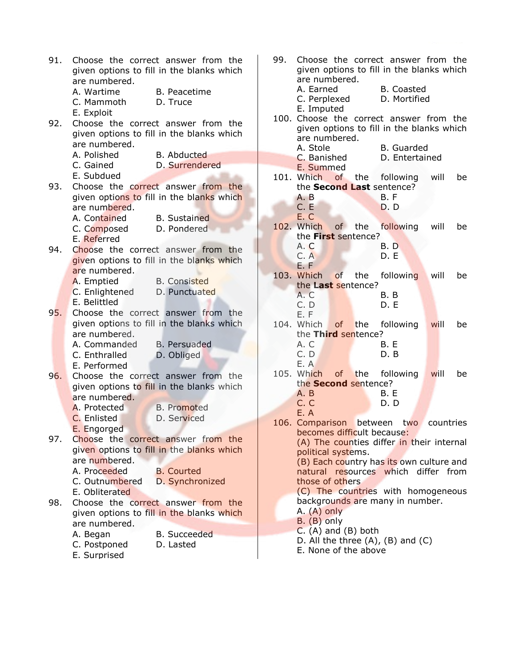| 91. |                                                                                 | Choose the correct answer from the<br>given options to fill in the blanks which |  |
|-----|---------------------------------------------------------------------------------|---------------------------------------------------------------------------------|--|
|     | are numbered.                                                                   |                                                                                 |  |
|     | A. Wartime                                                                      | B. Peacetime                                                                    |  |
|     | C. Mammoth D. Truce                                                             |                                                                                 |  |
|     | E. Exploit                                                                      |                                                                                 |  |
| 92. |                                                                                 | Choose the correct answer from the                                              |  |
|     |                                                                                 | given options to fill in the blanks which                                       |  |
|     | are numbered.                                                                   |                                                                                 |  |
|     | A. Polished                                                                     | B. Abducted                                                                     |  |
|     | C. Gained                                                                       | D. Surrendered                                                                  |  |
|     | E. Subdued                                                                      |                                                                                 |  |
| 93. |                                                                                 | Choose the correct answer from the                                              |  |
|     |                                                                                 | given options to fill in the blanks which                                       |  |
|     | are numbered.                                                                   |                                                                                 |  |
|     | A. Contained                                                                    | <b>B.</b> Sustained                                                             |  |
|     | C. Composed D. Pondered<br>E. Referred                                          |                                                                                 |  |
| 94. |                                                                                 | Choose the correct answer from the                                              |  |
|     |                                                                                 | given options to fill in the blanks which                                       |  |
|     | are numbered.                                                                   |                                                                                 |  |
|     | A. Emptied                                                                      | B. Consisted                                                                    |  |
|     | C. Enlightened D. Punctuated                                                    |                                                                                 |  |
|     | E. Belittled                                                                    |                                                                                 |  |
| 95. |                                                                                 | Choose the correct answer from the                                              |  |
|     |                                                                                 | given options to fill in the blanks which                                       |  |
|     | are numbered.                                                                   |                                                                                 |  |
|     | A. Commanded B. Persuaded                                                       |                                                                                 |  |
|     | C. Enthralled                                                                   | D. Obliged                                                                      |  |
|     | E. Performed                                                                    |                                                                                 |  |
| 96. |                                                                                 | Choose the correct answer from the                                              |  |
|     |                                                                                 | given options to fill in the blanks which                                       |  |
|     | are numbered.                                                                   |                                                                                 |  |
|     | A. Protected                                                                    | <b>B.</b> Promoted                                                              |  |
|     | C. Enlisted                                                                     | D. Serviced                                                                     |  |
|     | E. Engorged                                                                     |                                                                                 |  |
| 97. |                                                                                 | Choose the correct answer from the                                              |  |
|     |                                                                                 | given options to fill in the blanks which                                       |  |
|     | are numbered.<br>A. Proceeded                                                   | <b>B.</b> Courted                                                               |  |
|     | C. Outnumbered D. Synchronized                                                  |                                                                                 |  |
|     | E. Obliterated                                                                  |                                                                                 |  |
| 98. |                                                                                 |                                                                                 |  |
|     | Choose the correct answer from the<br>given options to fill in the blanks which |                                                                                 |  |
|     | are numbered.                                                                   |                                                                                 |  |
|     | A. Began                                                                        | <b>B.</b> Succeeded                                                             |  |
|     | C. Postponed                                                                    | D. Lasted                                                                       |  |
|     | E. Surprised                                                                    |                                                                                 |  |

| rom the<br>ks which | 99. | are numbered.                           |  | Choose the correct answer from the<br>given options to fill in the blanks which      |      |    |
|---------------------|-----|-----------------------------------------|--|--------------------------------------------------------------------------------------|------|----|
| e                   |     | A. Earned<br>C. Perplexed<br>E. Imputed |  | <b>B.</b> Coasted<br>D. Mortified                                                    |      |    |
| rom the<br>ks which |     | are numbered.                           |  | 100. Choose the correct answer from the<br>given options to fill in the blanks which |      |    |
| L                   |     | A. Stole<br>C. Banished                 |  | <b>B.</b> Guarded<br>D. Entertained                                                  |      |    |
| ered                |     | E. Summed                               |  |                                                                                      |      |    |
|                     |     |                                         |  | 101. Which of the following                                                          | will | be |
| rom the             |     |                                         |  | the Second Last sentence?                                                            |      |    |
| ks which            |     | A. B                                    |  | B.F                                                                                  |      |    |
|                     |     | C. E                                    |  | D.D                                                                                  |      |    |
| d                   |     | E.C                                     |  |                                                                                      |      |    |
| ſ                   |     |                                         |  | 102. Which of the following will                                                     |      | be |
|                     |     | the First sentence?                     |  |                                                                                      |      |    |
| rom the             |     | A.C                                     |  | B.D                                                                                  |      |    |
| ks which            |     | C. A                                    |  | D.E                                                                                  |      |    |
|                     |     | E.F                                     |  |                                                                                      |      |    |
| Į                   |     |                                         |  | 103. Which of the following                                                          | will | be |
| ed                  |     | the Last sentence?                      |  | B.B                                                                                  |      |    |
|                     |     | A. C<br>C.D                             |  | D. E                                                                                 |      |    |
| rom the             |     | E.F                                     |  |                                                                                      |      |    |
| ks which            |     | 104. Which                              |  | of the following                                                                     | will | be |
|                     |     | the Third sentence?                     |  |                                                                                      |      |    |
| d:                  |     | A.C                                     |  | <b>B.</b> E                                                                          |      |    |
|                     |     | C.D                                     |  | D.B                                                                                  |      |    |
|                     |     | E. A                                    |  |                                                                                      |      |    |
| rom the             |     |                                         |  | 105. Which of the following                                                          | will | be |
| ks which            |     | the <b>Second</b> sentence?             |  |                                                                                      |      |    |
|                     |     | A. B                                    |  | B. E                                                                                 |      |    |
| Į                   |     | C.C                                     |  | D.D                                                                                  |      |    |
|                     |     | E. A                                    |  |                                                                                      |      |    |
|                     |     |                                         |  | 106. Comparison between two countries                                                |      |    |
| rom the             |     |                                         |  | becomes difficult because:                                                           |      |    |
| ks which            |     | political systems.                      |  | (A) The counties differ in their internal                                            |      |    |
|                     |     |                                         |  | (B) Each country has its own culture and                                             |      |    |
|                     |     |                                         |  | natural resources which differ from                                                  |      |    |
| าized               |     | those of others                         |  |                                                                                      |      |    |
|                     |     |                                         |  | (C) The countries with homogeneous                                                   |      |    |
| rom the             |     |                                         |  | backgrounds are many in number.                                                      |      |    |
| ks which            |     | A. (A) only                             |  |                                                                                      |      |    |
|                     |     | $B.$ (B) only                           |  |                                                                                      |      |    |
| эd                  |     | $C.$ (A) and (B) both                   |  |                                                                                      |      |    |
|                     |     |                                         |  | D. All the three $(A)$ , $(B)$ and $(C)$                                             |      |    |
|                     |     | E. None of the above                    |  |                                                                                      |      |    |
|                     |     |                                         |  |                                                                                      |      |    |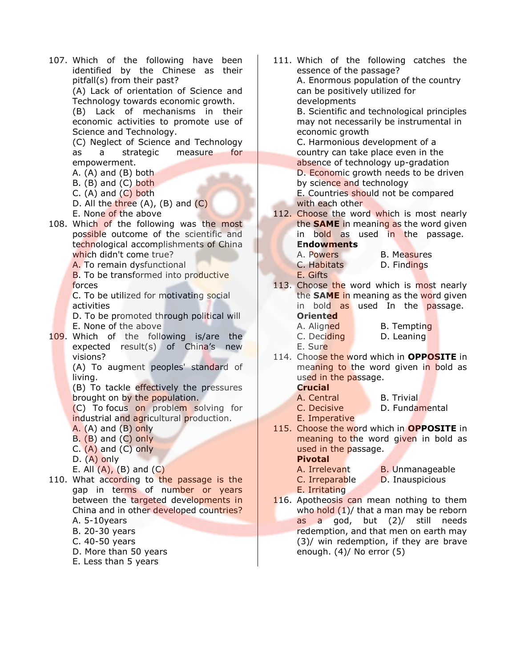107. Which of the following have been identified by the Chinese as their pitfall(s) from their past? (A) Lack of orientation of Science and Technology towards economic growth. (B) Lack of mechanisms in their economic activities to promote use of Science and Technology.

(C) Neglect of Science and Technology as a strategic measure for empowerment.

- A. (A) and (B) both
- B. (B) and (C) both
- C.  $(A)$  and  $(C)$  both
- D. All the three  $(A)$ ,  $(B)$  and  $(C)$
- E. None of the above
- 108. Which of the following was the most possible outcome of the scientific and technological accomplishments of China which didn't come true?
	- A. To remain dysfunctional
	- **B.** To be transformed into productive forces

C. To be utilized for motivating social activities

- D. To be promoted through political will
- E. None of the above
- 109. Which of the following is/are the expected result(s) of China's new visions?

(A) To augment peoples' standard of living.

(B) To tackle effectively the pressures brought on by the population.

(C) To focus on problem solving for industrial and agricultural production.

- A.  $(A)$  and  $(B)$  only
- $B.$  (B) and (C) only
- C.  $(A)$  and  $(C)$  only
- D. (A) only
- E. All  $(A)$ ,  $(B)$  and  $(C)$
- 110. What according to the passage is the gap in terms of number or years between the targeted developments in China and in other developed countries? A. 5-10years
	-
	- B. 20-30 years
	- C. 40-50 years
	- D. More than 50 years
	- E. Less than 5 years
- 111. Which of the following catches the essence of the passage? A. Enormous population of the country can be positively utilized for developments B. Scientific and technological principles may not necessarily be instrumental in economic growth C. Harmonious development of a country can take place even in the absence of technology up-gradation D. Economic growth needs to be driven by science and technology E. Countries should not be compared with each other 112. Choose the word which is most nearly the **SAME** in meaning as the word given in bold as used in the passage. **Endowments**
	- A. Powers B. Measures C. Habitats D. Findings E. Gifts
- 113. Choose the word which is most nearly the **SAME** in meaning as the word given in bold as used In the passage. **Oriented**
	- A. Aligned B. Tempting C. Deciding D. Leaning E. Sure
- 114. Choose the word which in **OPPOSITE** in meaning to the word given in bold as used in the passage.

#### **Crucial**

- A. Central B. Trivial
- C. Decisive D. Fundamental
- E. Imperative
- 115. Choose the word which in **OPPOSITE** in meaning to the word given in bold as used in the passage.

## **Pivotal**

- A. Irrelevant B. Unmanageable
- C. Irreparable D. Inauspicious
- E. Irritating
- 116. Apotheosis can mean nothing to them who hold  $(1)$  that a man may be reborn as a god, but (2)/ still needs redemption, and that men on earth may (3)/ win redemption, if they are brave enough. (4)/ No error (5)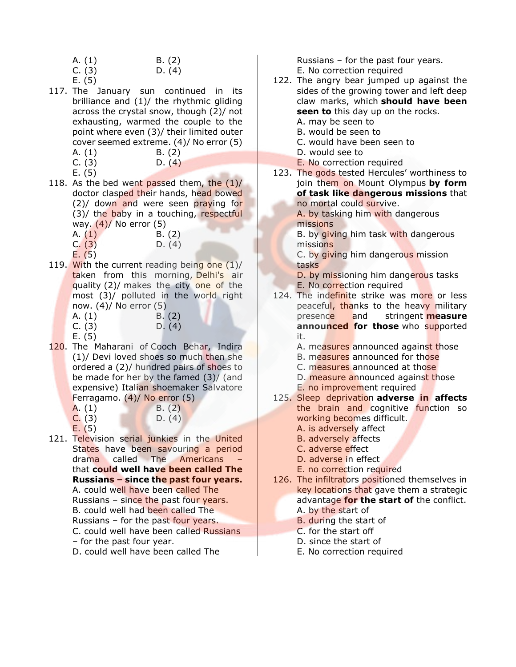| A. (1) | B. (2) |
|--------|--------|
|--------|--------|

 $C. (3)$  D.  $(4)$ 

E. (5)

- 117. The January sun continued in its brilliance and (1)/ the rhythmic gliding across the crystal snow, though (2)/ not exhausting, warmed the couple to the point where even (3)/ their limited outer cover seemed extreme. (4)/ No error (5)
	- A. (1) B. (2)
	- $C. (3)$  D.  $(4)$
	- E. (5)
- 118. As the bed went passed them, the  $(1)$ / doctor clasped their hands, head bowed (2)/ down and were seen praying for  $(3)$  the baby in a touching, respectful way. (4)/ No error (5)

| .      |        |
|--------|--------|
| A. (1) | B. (2) |
| C. (3) | D. (4) |

- E. (5)
- 119. With the current reading being one  $(1)$ taken from this morning, Delhi's air quality (2)/ makes the city one of the most (3)/ polluted in the world right now. (4)/ No error (5)
	- A. (1) B. (2)
	- $C. (3)$  D.  $(4)$ E. (5)
- 120. The Maharani of Cooch Behar, Indira  $(1)$ / Devi loved shoes so much then she ordered a (2)/ hundred pairs of shoes to be made for her by the famed (3)/ (and expensive) Italian shoemaker Salvatore Ferragamo. (4)/ No error (5)

| A. (1) | B. (2) |
|--------|--------|
| C. (3) | D. (4) |
| E / E  |        |

- E. (5)
- 121. Television serial junkies in the United States have been savouring a period drama called The Americans – that **could well have been called The Russians – since the past four years.** A. could well have been called The Russians – since the past four years. B. could well had been called The Russians – for the past four years. C. could well have been called Russians – for the past four year.
	- D. could well have been called The

Russians – for the past four years.

- E. No correction required
- 122. The angry bear jumped up against the sides of the growing tower and left deep claw marks, which **should have been seen to** this day up on the rocks. A. may be seen to
	- B. would be seen to
	- C. would have been seen to
	- D. would see to
	- E. No correction required
- 123. The gods tested Hercules' worthiness to join them on Mount Olympus **by form of task like dangerous missions** that no mortal could survive. A. by tasking him with dangerous

missions

B. by giving him task with dangerous missions

C. by giving him dangerous mission tasks

D. by missioning him dangerous tasks E. No correction required

- 124. The indefinite strike was more or less peaceful, thanks to the heavy military presence and stringent **measure announced for those** who supported it.
	- A. measures announced against those
	- B. measures announced for those
	- C. measures announced at those
	- D. measure announced against those
	- E. no improvement required
- 125. Sleep deprivation **adverse in affects** the brain and cognitive function so working becomes difficult.
	- A. is adversely affect
	- B. adversely affects
	- C. adverse effect
	- D. adverse in effect
- E. no correction required 126. The infiltrators positioned themselves in key locations that gave them a strategic
	- advantage **for the start of** the conflict. A. by the start of
		- B. during the start of
		- C. for the start off
	- D. since the start of
	- E. No correction required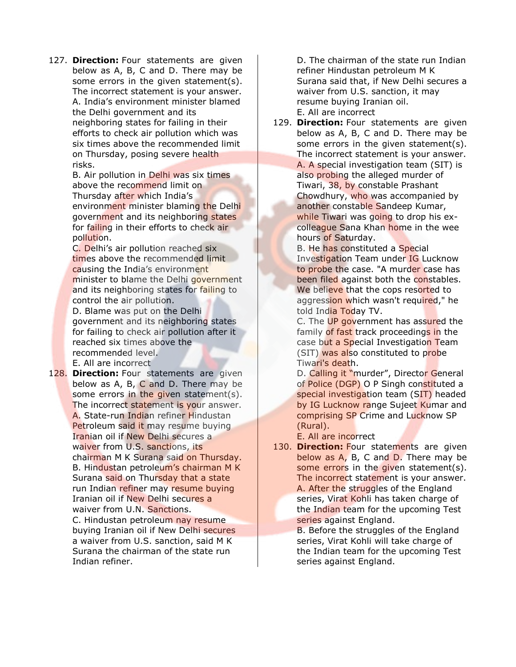127. **Direction:** Four statements are given below as A, B, C and D. There may be some errors in the given statement(s). The incorrect statement is your answer. A. India's environment minister blamed the Delhi government and its neighboring states for failing in their efforts to check air pollution which was six times above the recommended limit on Thursday, posing severe health risks.

> B. Air pollution in Delhi was six times above the recommend limit on Thursday after which India's environment minister blaming the Delhi government and its neighboring states for failing in their efforts to check air pollution.

C. Delhi's air pollution reached six times above the recommended limit causing the India's environment minister to blame the Delhi government and its neighboring states for failing to control the air pollution.

D. Blame was put on the Delhi government and its neighboring states for failing to check air pollution after it reached six times above the recommended level. E. All are incorrect

128. Direction: Four statements are given below as A, B,  $C$  and D. There may be some errors in the given statement(s). The incorrect statement is your answer. A. State-run Indian refiner Hindustan Petroleum said it may resume buying Iranian oil if New Delhi secures a waiver from U.S. sanctions, its chairman M K Surana said on Thursday. B. Hindustan petroleum's chairman M K Surana said on Thursday that a state run Indian refiner may resume buying Iranian oil if New Delhi secures a waiver from U.N. Sanctions. C. Hindustan petroleum nay resume buying Iranian oil if New Delhi secures a waiver from U.S. sanction, said M K Surana the chairman of the state run Indian refiner.

D. The chairman of the state run Indian refiner Hindustan petroleum M K Surana said that, if New Delhi secures a waiver from U.S. sanction, it may resume buying Iranian oil. E. All are incorrect

129. **Direction:** Four statements are given below as A, B, C and D. There may be some errors in the given statement(s). The incorrect statement is your answer. A. A special investigation team (SIT) is also probing the alleged murder of Tiwari, 38, by constable Prashant Chowdhury, who was accompanied by another constable Sandeep Kumar, while Tiwari was going to drop his excolleague Sana Khan home in the wee hours of Saturday.

> B. He has constituted a Special Investigation Team under IG Lucknow to probe the case. "A murder case has been filed against both the constables. We believe that the cops resorted to aggression which wasn't required," he told India Today TV.

C. The UP government has assured the family of fast track proceedings in the case but a Special Investigation Team (SIT) was also constituted to probe Tiwari's death.

D. Calling it "murder", Director General of Police (DGP) O P Singh constituted a special investigation team (SIT) headed by IG Lucknow range Sujeet Kumar and comprising SP Crime and Lucknow SP (Rural).

E. All are incorrect

130. **Direction:** Four statements are given below as A, B, C and D. There may be some errors in the given statement(s). The incorrect statement is your answer. A. After the struggles of the England series, Virat Kohli has taken charge of the Indian team for the upcoming Test series against England.

B. Before the struggles of the England series, Virat Kohli will take charge of the Indian team for the upcoming Test series against England.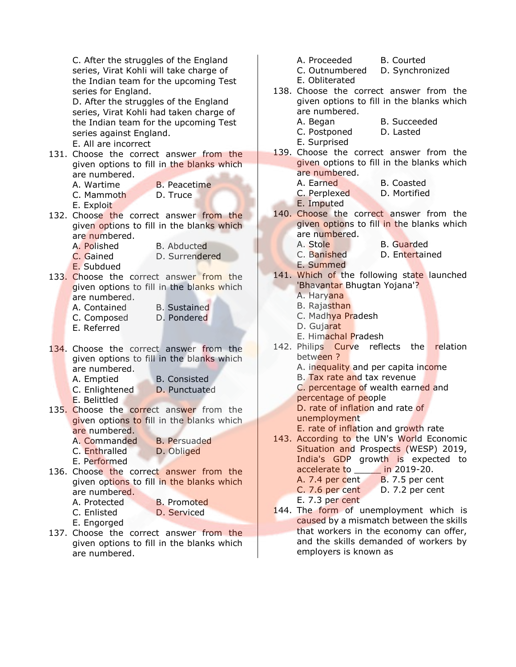C. After the struggles of the England series, Virat Kohli will take charge of the Indian team for the upcoming Test series for England. D. After the struggles of the England series, Virat Kohli had taken charge of the Indian team for the upcoming Test series against England. E. All are incorrect 131. Choose the correct answer from the given options to fill in the blanks which are numbered. A. Wartime B. Peacetime C. Mammoth D. Truce E. Exploit 132. Choose the correct answer from the given options to fill in the blanks which are numbered. A. Polished B. Abducted C. Gained D. Surrendered E. Subdued 133. Choose the correct answer from the given options to fill in the blanks which are numbered. A. Contained B. Sustained C. Composed D. Pondered E. Referred 134. Choose the correct answer from the given options to fill in the blanks which are numbered. A. Emptied B. Consisted C. Enlightened D. Punctuated E. Belittled 135. Choose the correct answer from the given options to fill in the blanks which are numbered. A. Commanded B. Persuaded C. Enthralled D. Obliged E. Performed 136. Choose the correct answer from the given options to fill in the blanks which are numbered. A. Protected B. Promoted C. Enlisted D. Serviced E. Engorged that workers in the economy can offer,

- 137. Choose the correct answer from the given options to fill in the blanks which are numbered.
- A. Proceeded B. Courted C. Outnumbered D. Synchronized E. Obliterated 138. Choose the correct answer from the given options to fill in the blanks which are numbered. A. Began B. Succeeded C. Postponed D. Lasted E. Surprised 139. Choose the correct answer from the given options to fill in the blanks which are numbered. A. Earned B. Coasted C. Perplexed D. Mortified E. Imputed 140. Choose the correct answer from the given options to fill in the blanks which are numbered. A. Stole B. Guarded C. Banished D. Entertained E. Summed 141. Which of the following state launched 'Bhavantar Bhugtan Yojana'? A. Haryana B. Rajasthan C. Madhya Pradesh D. Gujarat E. Himachal Pradesh 142. Philips Curve reflects the relation between ? A. inequality and per capita income B. Tax rate and tax revenue C. percentage of wealth earned and percentage of people D. rate of inflation and rate of unemployment E. rate of inflation and growth rate 143. According to the UN's World Economic Situation and Prospects (WESP) 2019, India's GDP growth is expected to accelerate to **in** 2019-20. A. 7.4 per cent B. 7.5 per cent C. 7.6 per cent D. 7.2 per cent E. 7.3 per cent 144. The form of unemployment which is caused by a mismatch between the skills

and the skills demanded of workers by

employers is known as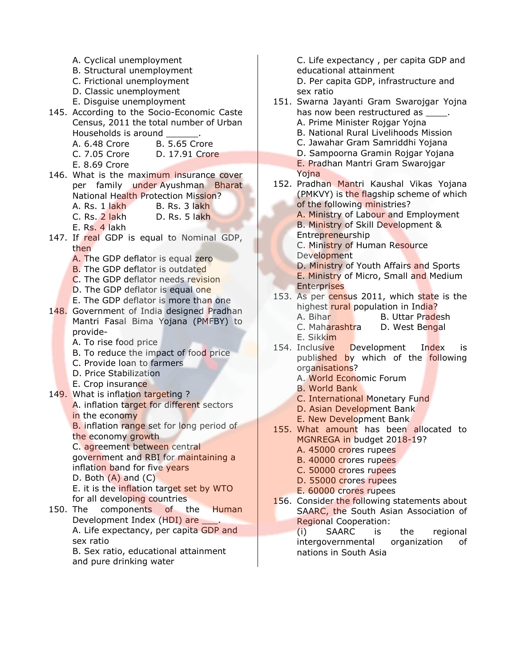- A. Cyclical unemployment
- B. Structural unemployment
- C. Frictional unemployment
- D. Classic unemployment
- E. Disguise unemployment
- 145. According to the Socio-Economic Caste Census, 2011 the total number of Urban Households is around
	- A. 6.48 Crore B. 5.65 Crore
	- C. 7.05 Crore D. 17.91 Crore
	- E. 8.69 Crore
- 146. What is the maximum insurance cover per family under Ayushman Bharat National Health Protection Mission?
	- A. Rs. 1 lakh B. Rs. 3 lakh
	- C. Rs. 2 lakh D. Rs. 5 lakh
	- E. Rs. 4 lakh
- 147. If real GDP is equal to Nominal GDP, then
	- A. The GDP deflator is equal zero
	- B. The GDP deflator is outdated
	- C. The GDP deflator needs revision
	- D. The GDP deflator is equal one
	- E. The GDP deflator is more than one
- 148. Government of India designed Pradhan Mantri Fasal Bima Yojana (PMFBY) to provide-
	- A. To rise food price
	- B. To reduce the impact of food price
	- C. Provide loan to farmers
	- D. Price Stabilization
	- E. Crop insurance
- 149. What is inflation targeting?
	- A. inflation target for different sectors in the economy
	- **B.** inflation range set for long period of the economy growth

C. agreement between central government and RBI for maintaining a inflation band for five years

D. Both  $(A)$  and  $(C)$ 

E. it is the inflation target set by WTO for all developing countries

150. The components of the Human Development Index (HDI) are A. Life expectancy, per capita GDP and sex ratio B. Sex ratio, educational attainment

and pure drinking water

C. Life expectancy , per capita GDP and educational attainment

D. Per capita GDP, infrastructure and sex ratio

- 151. Swarna Jayanti Gram Swarojgar Yojna has now been restructured as  $\qquad \qquad$ . A. Prime Minister Rojgar Yojna
	- B. National Rural Livelihoods Mission
	- C. Jawahar Gram Samriddhi Yojana
	- D. Sampoorna Gramin Rojgar Yojana
	- E. Pradhan Mantri Gram Swarojgar

Yojna

152. Pradhan Mantri Kaushal Vikas Yojana (PMKVY) is the flagship scheme of which of the following ministries?

> A. Ministry of Labour and Employment B. Ministry of Skill Development &

Entrepreneurship

C. Ministry of Human Resource **Development** 

D. Ministry of Youth Affairs and Sports E. Ministry of Micro, Small and Medium **Enterprises** 

- 153. As per census 2011, which state is the highest rural population in India? A. Bihar B. Uttar Pradesh C. Maharashtra D. West Bengal
	- E. Sikkim
- 154. Inclusive Development Index is published by which of the following organisations?
	- A. World Economic Forum
	- B. World Bank
	- C. International Monetary Fund
	- D. Asian Development Bank
	- E. New Development Bank
- 155. What amount has been allocated to MGNREGA in budget 2018-19?
	- A. 45000 crores rupees
	- B. 40000 crores rupees
	- C. 50000 crores rupees
	- D. 55000 crores rupees
	- E. 60000 crores rupees
- 156. Consider the following statements about SAARC, the South Asian Association of Regional Cooperation:

(i) SAARC is the regional intergovernmental organization of nations in South Asia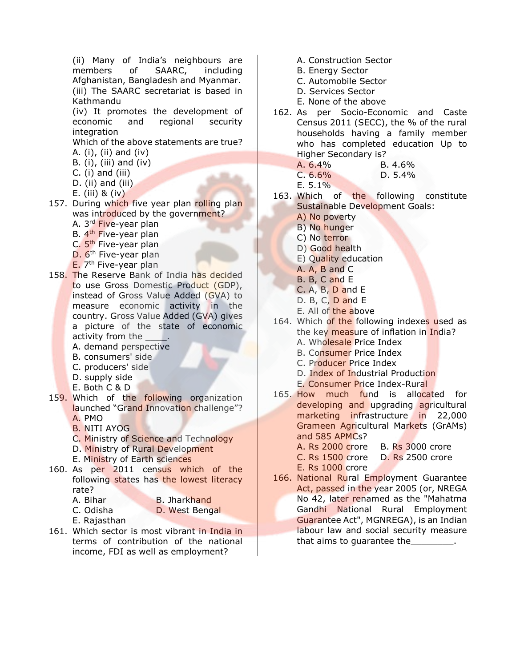(ii) Many of India's neighbours are members of SAARC, including Afghanistan, Bangladesh and Myanmar. (iii) The SAARC secretariat is based in Kathmandu (iv) It promotes the development of economic and regional security integration Which of the above statements are true? A. (i), (ii) and (iv) B. (i), (iii) and (iv)  $C.$  (i) and (iii) D. (ii) and (iii) E. (iii) & (iv) 157. During which five year plan rolling plan was introduced by the government? A. 3<sup>rd</sup> Five-year plan B. 4<sup>th</sup> Five-year plan C. 5<sup>th</sup> Five-year plan D. 6<sup>th</sup> Five-year plan E. 7<sup>th</sup> Five-year plan 158. The Reserve Bank of India has decided to use Gross Domestic Product (GDP), instead of Gross Value Added (GVA) to measure economic activity in the country. Gross Value Added (GVA) gives a picture of the state of economic activity from the A. demand perspective B. consumers' side C. producers' side D. supply side E. Both C & D 159. Which of the following organization launched "Grand Innovation challenge"? A. PMO B. NITI AYOG C. Ministry of Science and Technology D. Ministry of Rural Development E. Ministry of Earth sciences 160. As per 2011 census which of the following states has the lowest literacy rate? A. Bihar B. Jharkhand C. Odisha D. West Bengal E. Rajasthan 161. Which sector is most vibrant in India in terms of contribution of the national income, FDI as well as employment?

A. Construction Sector

- B. Energy Sector
- C. Automobile Sector
- D. Services Sector
- E. None of the above
- 162. As per Socio-Economic and Caste Census 2011 (SECC), the % of the rural households having a family member who has completed education Up to Higher Secondary is?
	- A. 6.4% B. 4.6% C. 6.6% D. 5.4%
	- $E. 5.1%$
- 163. Which of the following constitute Sustainable Development Goals:
	- A) No poverty
	- B) No hunger
	- C) No terror
	- D) Good health
	- E) Quality education
	- A. A, B and C
	- B. B, C and E
	- C. A, B, D and E
	- D. B, C, D and E
	- E. All of the above
- 164. Which of the following indexes used as the key measure of inflation in India?
	- A. Wholesale Price Index
	- B. Consumer Price Index
	- C. Producer Price Index
	- D. Index of Industrial Production
	- E. Consumer Price Index-Rural
- 165. How much fund is allocated for developing and upgrading agricultural marketing infrastructure in 22,000 Grameen Agricultural Markets (GrAMs) and 585 APMCs?

A. Rs 2000 crore B. Rs 3000 crore C. Rs 1500 crore D. Rs 2500 crore E. Rs 1000 crore

166. National Rural Employment Guarantee Act, passed in the year 2005 (or, NREGA No 42, later renamed as the "Mahatma Gandhi National Rural Employment Guarantee Act", MGNREGA), is an Indian labour law and social security measure that aims to quarantee the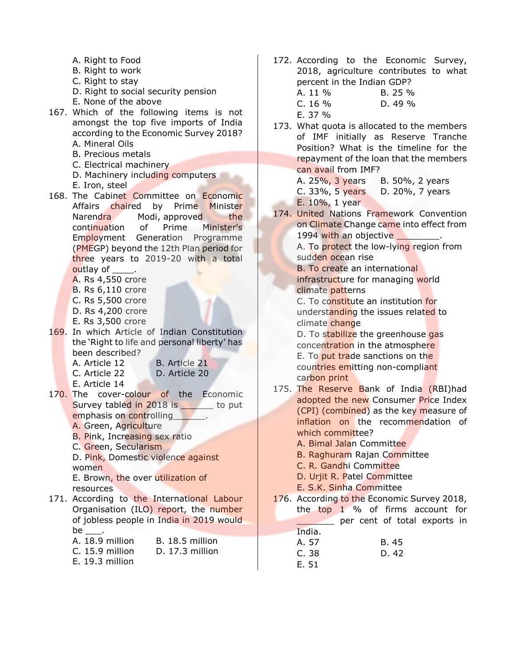- A. Right to Food
- B. Right to work
- C. Right to stay
- D. Right to social security pension
- E. None of the above
- 167. Which of the following items is not amongst the top five imports of India according to the Economic Survey 2018? A. Mineral Oils
	- B. Precious metals
	- C. Electrical machinery
	- D. Machinery including computers
	- E. Iron, steel
- 168. The Cabinet Committee on Economic Affairs chaired by Prime Minister Narendra Modi, approved the continuation of Prime Minister's Employment Generation Programme (PMEGP) beyond the 12th Plan period for three years to 2019-20 with a total outlay of
	- A. Rs 4,550 crore
	- B. Rs 6,110 crore
	- C. Rs 5,500 crore
	- D. Rs 4,200 crore
	- E. Rs 3,500 crore
- 169. In which Article of Indian Constitution the 'Right to life and personal liberty' has been described?
	- A. Article 12 B. Article 21
	- C. Article 22 D. Article 20
	- E. Article 14
- 170. The cover-colour of the Economic Survey tabled in 2018 is \_\_\_\_\_\_ to put emphasis on controlling
	- A. Green, Agriculture
	- B. Pink, Increasing sex ratio
	- C. Green, Secularism

D. Pink, Domestic violence against women

E. Brown, the over utilization of resources

- 171. According to the International Labour Organisation (ILO) report, the number of jobless people in India in 2019 would be \_\_\_.
	- A. 18.9 million B. 18.5 million
	- C. 15.9 million D. 17.3 million
	- E. 19.3 million
- 172. According to the Economic Survey, 2018, agriculture contributes to what percent in the Indian GDP? A. 11 % B. 25 %
	- C. 16 % D. 49 % E. 37 %
- 173. What quota is allocated to the members of IMF initially as Reserve Tranche Position? What is the timeline for the repayment of the loan that the members can avail from IMF?

A. 25%, 3 years B. 50%, 2 years C. 33%, 5 years D. 20%, 7 years

E. 10%, 1 year

174. United Nations Framework Convention on Climate Change came into effect from 1994 with an objective A. To protect the low-lying region from

sudden ocean rise

B. To create an international infrastructure for managing world climate patterns

C. To constitute an institution for understanding the issues related to climate change

D. To stabilize the greenhouse gas concentration in the atmosphere E. To put trade sanctions on the countries emitting non-compliant carbon print

- 175. The Reserve Bank of India (RBI)had adopted the new Consumer Price Index (CPI) (combined) as the key measure of inflation on the recommendation of which committee?
	- A. Bimal Jalan Committee
	- B. Raghuram Rajan Committee
	- C. R. Gandhi Committee
	- D. Urjit R. Patel Committee
	- E. S.K. Sinha Committee
- 176. According to the Economic Survey 2018, the  $top 1 %$  of firms account for per cent of total exports in India. A. 57 B. 45
	- C. 38 D. 42 E. 51